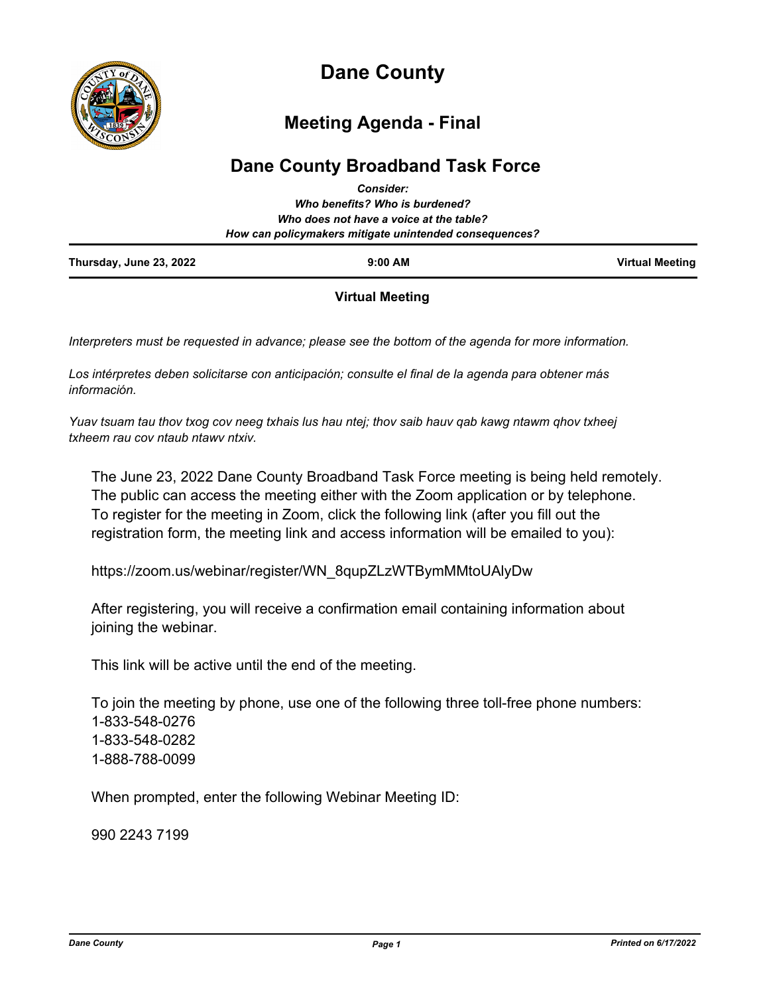

# **Dane County**

## **Meeting Agenda - Final**

## **Dane County Broadband Task Force** *Consider:*

| Thursday, June 23, 2022 | $9:00$ AM                                                                                         | <b>Virtual Meeting</b> |
|-------------------------|---------------------------------------------------------------------------------------------------|------------------------|
|                         | Who does not have a voice at the table?<br>How can policymakers mitigate unintended consequences? |                        |
|                         | Who benefits? Who is burdened?                                                                    |                        |
|                         | GUISIUCI.                                                                                         |                        |

## **Virtual Meeting**

*Interpreters must be requested in advance; please see the bottom of the agenda for more information.*

*Los intérpretes deben solicitarse con anticipación; consulte el final de la agenda para obtener más información.*

*Yuav tsuam tau thov txog cov neeg txhais lus hau ntej; thov saib hauv qab kawg ntawm qhov txheej txheem rau cov ntaub ntawv ntxiv.*

The June 23, 2022 Dane County Broadband Task Force meeting is being held remotely. The public can access the meeting either with the Zoom application or by telephone. To register for the meeting in Zoom, click the following link (after you fill out the registration form, the meeting link and access information will be emailed to you):

https://zoom.us/webinar/register/WN\_8qupZLzWTBymMMtoUAlyDw

After registering, you will receive a confirmation email containing information about joining the webinar.

This link will be active until the end of the meeting.

To join the meeting by phone, use one of the following three toll-free phone numbers: 1-833-548-0276 1-833-548-0282 1-888-788-0099

When prompted, enter the following Webinar Meeting ID:

990 2243 7199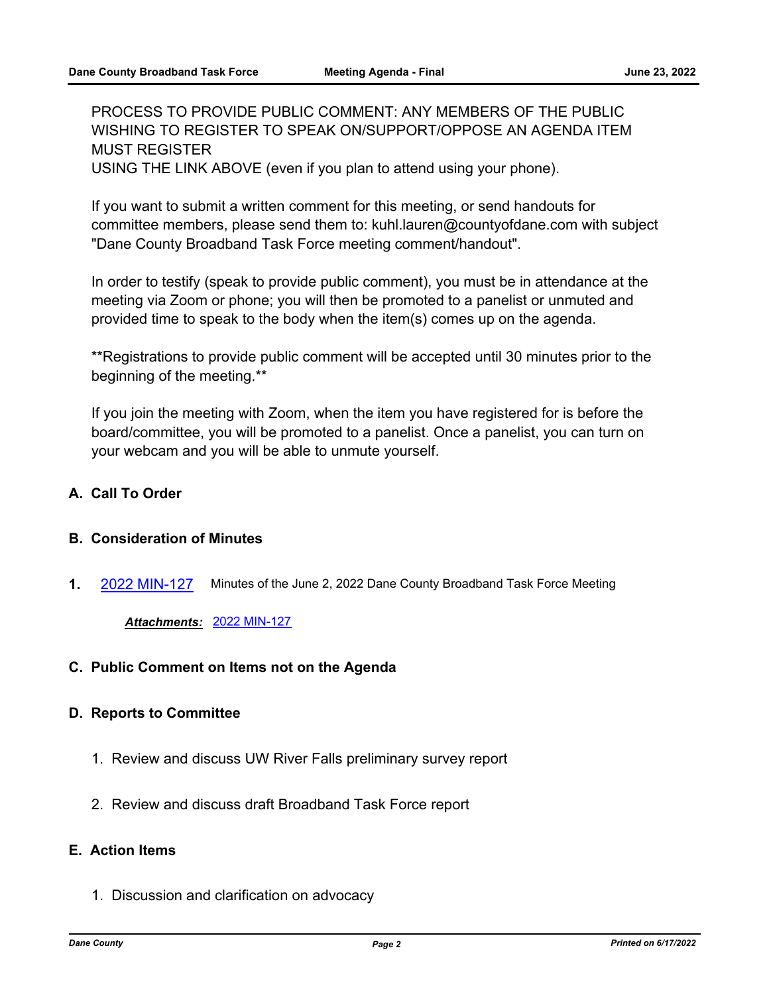PROCESS TO PROVIDE PUBLIC COMMENT: ANY MEMBERS OF THE PUBLIC WISHING TO REGISTER TO SPEAK ON/SUPPORT/OPPOSE AN AGENDA ITEM MUST REGISTER

USING THE LINK ABOVE (even if you plan to attend using your phone).

If you want to submit a written comment for this meeting, or send handouts for committee members, please send them to: kuhl.lauren@countyofdane.com with subject "Dane County Broadband Task Force meeting comment/handout".

In order to testify (speak to provide public comment), you must be in attendance at the meeting via Zoom or phone; you will then be promoted to a panelist or unmuted and provided time to speak to the body when the item(s) comes up on the agenda.

\*\*Registrations to provide public comment will be accepted until 30 minutes prior to the beginning of the meeting.\*\*

If you join the meeting with Zoom, when the item you have registered for is before the board/committee, you will be promoted to a panelist. Once a panelist, you can turn on your webcam and you will be able to unmute yourself.

## **A. Call To Order**

#### **B. Consideration of Minutes**

**1.** [2022 MIN-127](http://dane.legistar.com/gateway.aspx?m=l&id=/matter.aspx?key=23113) Minutes of the June 2, 2022 Dane County Broadband Task Force Meeting

*Attachments:* [2022 MIN-127](http://dane.legistar.com/gateway.aspx?M=F&ID=f93f98ad-d702-4f33-ac8a-bf3aeec6b241.pdf)

**C. Public Comment on Items not on the Agenda**

#### **D. Reports to Committee**

- 1. Review and discuss UW River Falls preliminary survey report
- 2. Review and discuss draft Broadband Task Force report

## **E. Action Items**

1. Discussion and clarification on advocacy